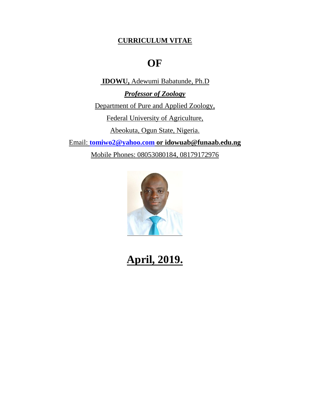### **CURRICULUM VITAE**

## **OF**

**IDOWU,** Adewumi Babatunde, Ph.D

*Professor of Zoology* Department of Pure and Applied Zoology,

Federal University of Agriculture,

Abeokuta, Ogun State, Nigeria.

Email: **[tomiwo2@yahoo.com](mailto:tomiwo2@yahoo.com) or idowuab@funaab.edu.ng**

Mobile Phones: 08053080184, 08179172976



# **April, 2019.**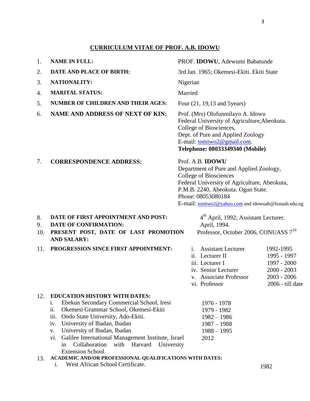#### **CURRICULUM VITAE OF PROF. A.B. IDOWU**

| 1.              | <b>NAME IN FULL:</b>                                                                                                                                                                                                                                                                                                                                                                                                                                                | PROF. IDOWU, Adewumi Babatunde                                                                                                                                                                                                                                  |                                                                                               |
|-----------------|---------------------------------------------------------------------------------------------------------------------------------------------------------------------------------------------------------------------------------------------------------------------------------------------------------------------------------------------------------------------------------------------------------------------------------------------------------------------|-----------------------------------------------------------------------------------------------------------------------------------------------------------------------------------------------------------------------------------------------------------------|-----------------------------------------------------------------------------------------------|
| 2.              | DATE AND PLACE OF BIRTH:                                                                                                                                                                                                                                                                                                                                                                                                                                            | 3rd Jan. 1965; Okemesi-Ekiti. Ekiti State                                                                                                                                                                                                                       |                                                                                               |
| 3.              | <b>NATIONALITY:</b>                                                                                                                                                                                                                                                                                                                                                                                                                                                 | Nigerian                                                                                                                                                                                                                                                        |                                                                                               |
| 4.              | <b>MARITAL STATUS:</b>                                                                                                                                                                                                                                                                                                                                                                                                                                              | Married                                                                                                                                                                                                                                                         |                                                                                               |
| 5.              | <b>NUMBER OF CHILDREN AND THEIR AGES:</b>                                                                                                                                                                                                                                                                                                                                                                                                                           | Four (21, 19,13 and 5 years)                                                                                                                                                                                                                                    |                                                                                               |
| 6.              | <b>NAME AND ADDRESS OF NEXT OF KIN:</b>                                                                                                                                                                                                                                                                                                                                                                                                                             | Prof. (Mrs) Olufunmilayo A. Idowu<br>Federal University of Agriculture, Abeokuta.<br>College of Biosciences,<br>Dept. of Pure and Applied Zoology<br>E-mail: tomiwo2@gmail.com.<br>Telephone: 08033349340 (Mobile)                                              |                                                                                               |
| 7.              | <b>CORRESPONDENCE ADDRESS:</b>                                                                                                                                                                                                                                                                                                                                                                                                                                      | Prof. A.B. <b>IDOWU</b><br>Department of Pure and Applied Zoology,<br>College of Biosciences<br>Federal University of Agriculture, Abeokuta,<br>P.M.B. 2240, Abeokuta. Ogun State.<br>Phone: 08053080184<br>E-mail: tomiwo2@yahoo.com and idowuab@funaab.edu.ng |                                                                                               |
| 8.<br>9.<br>10. | DATE OF FIRST APPOINTMENT AND POST:<br>DATE OF CONFIRMATION:<br>PRESENT POST, DATE OF LAST PROMOTION<br><b>AND SALARY:</b>                                                                                                                                                                                                                                                                                                                                          | 4 <sup>th</sup> April, 1992; Assistant Lecturer.<br>April, 1994.<br>Professor, October 2006, CONUASS 7 <sup>10</sup>                                                                                                                                            |                                                                                               |
| 11.             | PROGRESSION SINCE FIRST APPOINTMENT:                                                                                                                                                                                                                                                                                                                                                                                                                                | <b>Assistant Lecturer</b><br>$\mathbf{1}$ .<br>ii. Lecturer II<br>iii. Lecturer I<br>iv. Senior Lecturer<br>v. Associate Professor<br>vi. Professor                                                                                                             | 1992-1995<br>1995 - 1997<br>1997 - 2000<br>$2000 - 2003$<br>$2003 - 2006$<br>2006 - till date |
| 12.<br>13.      | <b>EDUCATION HISTORY WITH DATES:</b><br>Ebekun Secondary Commercial School, Iresi<br>i.<br>Okemesi Grammar School, Okemesi-Ekiti<br>ii.<br>iii.<br>Ondo State University, Ado-Ekiti.<br>University of Ibadan, Ibadan<br>iv.<br>University of Ibadan, Ibadan<br>V.<br>Galilee International Management Institute, Israel<br>VI.<br>Collaboration<br>with Harvard<br>University<br>in<br>Extension School.<br>ACADEMIC AND/OR PROFESSIONAL QUALIFICATIONS WITH DATES: | 1976 - 1978<br>1979 - 1982<br>$1982 - 1986$<br>$1987 - 1988$<br>$1988 - 1995$<br>2012                                                                                                                                                                           |                                                                                               |

i. West African School Certificate. 1982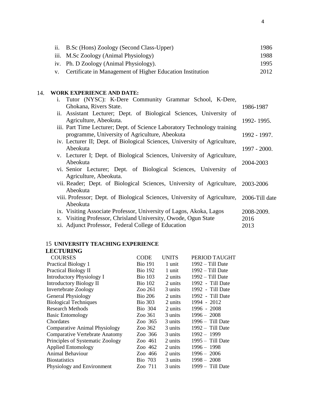ii. B.Sc (Hons) Zoology (Second Class-Upper) iii. M.Sc Zoology (Animal Physiology) 1986 1988

- iv. Ph. D Zoology (Animal Physiology). 1995
- v. Certificate in Management of Higher Education Institution 2012

#### 14. **WORK EXPERIENCE AND DATE:**

| i.<br>Tutor (NYSC): K-Dere Community Grammar School, K-Dere,                             |              |
|------------------------------------------------------------------------------------------|--------------|
| Ghokana, Rivers State.                                                                   | 1986-1987    |
| ii. Assistant Lecturer; Dept. of Biological Sciences, University of                      |              |
| Agriculture, Abeokuta.                                                                   | 1992-1995.   |
| iii. Part Time Lecturer; Dept. of Science Laboratory Technology training                 |              |
| programme, University of Agriculture, Abeokuta                                           | 1992 - 1997. |
| iv. Lecturer II; Dept. of Biological Sciences, University of Agriculture,                |              |
| Abeokuta                                                                                 | 1997 - 2000. |
| v. Lecturer I; Dept. of Biological Sciences, University of Agriculture,                  |              |
| Abeokuta                                                                                 | 2004-2003    |
| vi. Senior Lecturer; Dept. of Biological Sciences, University of                         |              |
| Agriculture, Abeokuta.                                                                   |              |
| vii. Reader; Dept. of Biological Sciences, University of Agriculture, 2003-2006          |              |
| Abeokuta                                                                                 |              |
| viii. Professor; Dept. of Biological Sciences, University of Agriculture, 2006-Till date |              |
| Abeokuta                                                                                 |              |
| ix. Visiting Associate Professor, University of Lagos, Akoka, Lagos                      | 2008-2009.   |
| x. Visiting Professor, Chrisland University, Owode, Ogun State                           | 2016         |
| xi. Adjunct Professor, Federal College of Education                                      | 2013         |

#### 15 **UNIVERSITY TEACHING EXPERIENCE**

#### **LECTURING**

| <b>COURSES</b>                        | <b>CODE</b>    | <b>UNITS</b> | PERIOD TAUGHT      |
|---------------------------------------|----------------|--------------|--------------------|
| Practical Biology 1                   | <b>Bio 191</b> | 1 unit       | $1992 - Till$ Date |
| <b>Practical Biology II</b>           | <b>Bio 192</b> | 1 unit       | 1992 – Till Date   |
| <b>Introductory Physiology I</b>      | <b>Bio</b> 103 | 2 units      | $1992 - Till$ Date |
| <b>Introductory Biology II</b>        | <b>Bio 102</b> | 2 units      | 1992 - Till Date   |
| <b>Invertebrate Zoology</b>           | Zoo 261        | 3 units      | 1992 - Till Date   |
| <b>General Physiology</b>             | <b>Bio 206</b> | 2 units      | 1992 - Till Date   |
| <b>Biological Techniques</b>          | <b>Bio 303</b> | 2 units      | 1994 - 2012        |
| <b>Research Methods</b>               | <b>Bio</b> 304 | 2 units      | 1996 - 2008        |
| <b>Basic Entomology</b>               | Zoo 361        | 3 units      | $1996 - 2008$      |
| Chordates                             | Zoo 365        | 3 units      | $1996 -$ Till Date |
| <b>Comparative Animal Physiology</b>  | Zoo 362        | 3 units      | 1992 - Till Date   |
| <b>Comparative Vertebrate Anatomy</b> | Zoo 366        | 3 units      | $1992 - 1999$      |
| Principles of Systematic Zoology      | Zoo 461        | 2 units      | $1995 -$ Till Date |
| <b>Applied Entomology</b>             | Zoo 462        | 2 units      | 1996 - 1998        |
| Animal Behaviour                      | Zoo 466        | 2 units      | $1996 - 2006$      |
| <b>Biostatistics</b>                  | <b>Bio</b> 703 | 3 units      | $1998 - 2008$      |
| Physiology and Environment            | Zoo 711        | 3 units      | 1999 - Till Date   |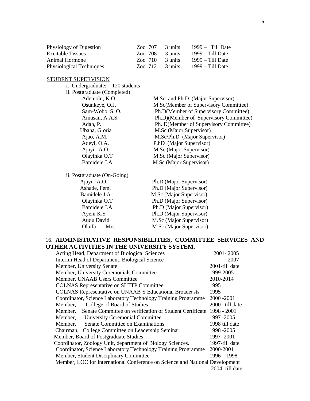| Physiology of Digestion  | Zoo 707 | 3 units | $1999 -$ Till Date |
|--------------------------|---------|---------|--------------------|
| Excitable Tissues        | Zoo 708 | 3 units | $1999 - Till$ Date |
| Animal Hormone           | Zoo 710 | 3 units | $1999 - Till$ Date |
| Physiological Techniques | Zoo 712 | 3 units | $1999 - Till$ Date |

#### STUDENT SUPERVISION

i. Undergraduate: 120 students

| ii. Postgraduate (Completed) |                                        |
|------------------------------|----------------------------------------|
| Ademolu, K.O.                | M.Sc and Ph.D (Major Supervisor)       |
| Osunkeye, O.J.               | M.Sc(Member of Supervisory Committee)  |
| Sam-Wobo, S.O.               | Ph.D(Member of Supervisory Committee)  |
| Amusan, A.A.S.               | Ph.D)(Member of Supervisory Committee) |
| Adah, P.                     | Ph. D(Member of Supervisory Committee) |
| Ubaha, Gloria                | M.Sc (Major Supervisor)                |
| Ajao, A.M.                   | M.Sc/Ph.D (Major Supervisor)           |
| Adeyi, O.A.                  | P.hD (Major Supervisor)                |
| Ajayi A.O.                   | M.Sc (Major Supervisor)                |
| Olayinka O.T                 | M.Sc (Major Supervisor)                |
| Bamidele J.A                 | M.Sc (Major Supervisor)                |
| ii. Postgraduate (On-Going)  |                                        |
| Ajayi A.O.                   | Ph.D (Major Supervisor)                |
| Ashade, Femi                 | Ph.D (Major Supervisor)                |
| Bamidele J.A                 | M.Sc (Major Supervisor)                |
|                              |                                        |

| $\frac{1}{111}$ . The content of $\frac{1}{111}$ |                         |
|--------------------------------------------------|-------------------------|
| Ajayi A.O.                                       | Ph.D (Major Supervisor) |
| Ashade, Femi                                     | Ph.D (Major Supervisor) |
| Bamidele J.A                                     | M.Sc (Major Supervisor) |
| Olayinka O.T                                     | Ph.D (Major Supervisor) |
| Bamidele J.A                                     | Ph.D (Major Supervisor) |
| Ayeni K.S                                        | Ph.D (Major Supervisor) |
| Audu David                                       | M.Sc (Major Supervisor) |
| Olaifa<br><b>Mrs</b>                             | M.Sc (Major Supervisor) |
|                                                  |                         |

#### 16. **ADMINISTRATIVE RESPONSIBILITIES, COMMITTEE SERVICES AND OTHER ACTIVITIES IN THE UNIVERSITY SYSTEM.**

| Acting Head, Department of Biological Sciences                               | 2001-2005          |
|------------------------------------------------------------------------------|--------------------|
| Interim Head of Department, Biological Science                               | 2007               |
| Member, University Senate                                                    | 2001-till date     |
| Member, University Ceremonials Committee                                     | 1999-2005          |
| Member, UNAAB Users Committee                                                | 2010-2014          |
| <b>COLNAS Representative on SLTTP Committee</b>                              | 1995               |
| <b>COLNAS Representative on UNAAB'S Educational Broadcasts</b>               | 1995               |
| Coordinator, Science Laboratory Technology Training Programme                | 2000 - 2001        |
| College of Board of Studies<br>Member,                                       | $2000 -$ till date |
| Senate Committee on verification of Student Certificate<br>Member.           | 1998 - 2001        |
| Member, University Ceremonial Committee                                      | 1997 -2005         |
| Senate Committee on Examinations<br>Member,                                  | 1998 till date     |
| Chairman, College Committee on Leadership Seminar                            | 1998 - 2005        |
| Member, Board of Postgraduate Studies                                        | 1997-2001          |
| Coordinator, Zoology Unit, department of Biology Sciences.                   | 1997-till date     |
| Coordinator, Science Laboratory Technology Training Programme                | 2000-2001          |
| Member, Student Disciplinary Committee                                       | $1996 - 1998$      |
| Member, LOC for International Conference on Science and National Development |                    |
|                                                                              | 2004- till date    |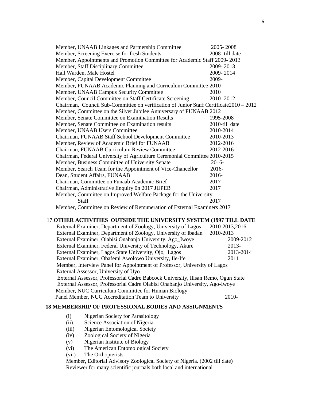| Member, UNAAB Linkages and Partnership Committee                                        | 2005-2008      |  |  |
|-----------------------------------------------------------------------------------------|----------------|--|--|
| Member, Screening Exercise for fresh Students                                           | 2008-till date |  |  |
| Member, Appointments and Promotion Committee for Academic Staff 2009-2013               |                |  |  |
| Member, Staff Disciplinary Committee                                                    | 2009-2013      |  |  |
| Hall Warden, Male Hostel                                                                | 2009-2014      |  |  |
| Member, Capital Development Committee                                                   | 2009-          |  |  |
| Member, FUNAAB Academic Planning and Curriculum Committee 2010-                         |                |  |  |
| Member, UNAAB Campus Security Committee                                                 | 2010           |  |  |
| Member, Council Committee on Staff Certificate Screening                                | 2010-2012      |  |  |
| Chairman, Council Sub-Committee on verification of Junior Staff Certificate 2010 – 2012 |                |  |  |
| Member, Committee on the Silver Jubilee Anniversary of FUNAAB 2012                      |                |  |  |
| Member, Senate Committee on Examination Results                                         | 1995-2008      |  |  |
| Member, Senate Committee on Examination results                                         | 2010-till date |  |  |
| Member, UNAAB Users Committee                                                           | 2010-2014      |  |  |
| Chairman, FUNAAB Staff School Development Committee                                     | 2010-2013      |  |  |
| Member, Review of Academic Brief for FUNAAB                                             | 2012-2016      |  |  |
| Chairman, FUNAAB Curriculum Review Committee                                            | 2012-2016      |  |  |
| Chairman, Federal University of Agriculture Ceremonial Committee 2010-2015              |                |  |  |
| Member, Business Committee of University Senate                                         | 2016-          |  |  |
| Member, Search Team for the Appointment of Vice-Chancellor                              | 2016-          |  |  |
| Dean, Student Affairs, FUNAAB                                                           | 2016-          |  |  |
| Chairman, Committee on Funaab Academic Brief                                            | 2017-          |  |  |
| Chairman, Administrative Enquiry 0n 2017 JUPEB                                          | 2017           |  |  |
| Member, Committee on Improved Welfare Package for the University                        |                |  |  |
| <b>Staff</b>                                                                            | 2017           |  |  |
| Member, Committee on Review of Remuneration of External Examiners 2017                  |                |  |  |

#### 17.**OTHER ACTIVITIES OUTSIDE THE UNIVERSITY SYSTEM (1997 TILL DATE**

| External Examiner, Department of Zoology, University of Lagos                     | 2010-2013,2016 |  |
|-----------------------------------------------------------------------------------|----------------|--|
| External Examiner, Department of Zoology, University of Ibadan                    | 2010-2013      |  |
| External Examiner, Olabisi Onabanjo University, Ago_Iwoye                         | 2009-2012      |  |
| External Examiner, Federal University of Technology, Akure                        | 2013-          |  |
| External Examiner, Lagos State University, Ojo, Lagos                             | 2013-2014      |  |
| External Examiner, Obafemi Awolowo University, Ile-Ife                            | 2011           |  |
| Member, Interview Panel for Appointment of Professor, University of Lagos         |                |  |
| External Assessor, University of Uyo                                              |                |  |
| External Assessor, Professorial Cadre Babcock University, Ilisan Remo, Ogun State |                |  |
| External Assessor, Professorial Cadre Olabisi Onabanjo University, Ago-Iwoye      |                |  |
| Member, NUC Curriculum Committee for Human Biology                                |                |  |
| Panel Member, NUC Accreditation Team to University                                | $2010-$        |  |

#### **18 MEMBERSHIP OF PROFESSIONAL BODIES AND ASSIGNMENTS**

- (i) Nigerian Society for Parasitology
- (ii) Science Association of Nigeria.
- (iii) Nigerian Entomological Society
- (iv) Zoological Society of Nigeria
- (v) Nigerian Institute of Biology
- (vi) The American Entomological Society
- (vii) The Orthopterists

Member, Editorial Advisory Zoological Society of Nigeria. (2002 till date) Reviewer for many scientific journals both local and international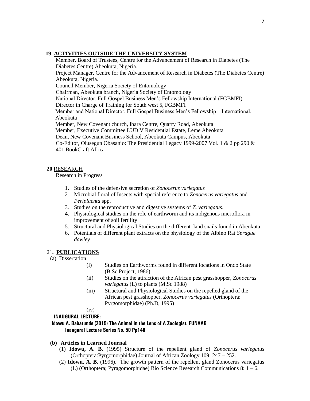#### **19 ACTIVITIES OUTSIDE THE UNIVERSITY SYSTEM**

Member, Board of Trustees, Centre for the Advancement of Research in Diabetes (The Diabetes Centre) Abeokuta, Nigeria. Project Manager, Centre for the Advancement of Research in Diabetes (The Diabetes Centre) Abeokuta, Nigeria. Council Member, Nigeria Society of Entomology Chairman, Abeokuta branch, Nigeria Society of Entomology National Director, Full Gospel Business Men's Fellowship International (FGBMFI) Director in Charge of Training for South west 5, FGBMFI Member and National Director, Full Gospel Business Men's Fellowship International, Abeokuta Member, New Covenant church, Ibara Centre, Quarry Road, Abeokuta Member, Executive Committee LUD V Residential Estate, Leme Abeokuta Dean, New Covenant Business School, Abeokuta Campus, Abeokuta Co-Editor, Olusegun Obasanjo: The Presidential Legacy 1999-2007 Vol. 1 & 2 pp 290 & 401 BookCraft Africa

#### **20** RESEARCH

Research in Progress

- 1. Studies of the defensive secretion of *Zonocerus variegatus*
- 2. Microbial floral of Insects with special reference to *Zonocerus variegatus* and *Periplaenta* spp.
- 3. Studies on the reproductive and digestive systems of *Z. variegatus*.
- 4. Physiological studies on the role of earthworm and its indigenous microflora in improvement of soil fertility
- 5. Structural and Physiological Studies on the different land snails found in Abeokuta
- 6. Potentials of different plant extracts on the physiology of the Albino Rat *Sprague dawley*

#### 21**. PUBLICATIONS**

- (a) Dissertation
	- (i) Studies on Earthworms found in different locations in Ondo State (B.Sc Project, 1986)
	- (ii) Studies on the attraction of the African pest grasshopper*, Zonocerus variegatus* (L) to plants (M.Sc 1988)
	- (iii) Structural and Physiological Studies on the repelled gland of the African pest grasshopper, *Zonocerus variegatus* (Orthoptera: Pyrgomorphidae) (Ph.D, 1995)
	- (iv)

**INAUGURAL LECTURE:** 

#### **Idowu A. Babatunde (2015) The Animal in the Lens of A Zoologist. FUNAAB Inaugural Lecture Series No. 50 Pp148**

- **(b) Articles in Learned Journal**
	- (1) **Idowu, A. B.** (1995) Structure of the repellent gland of *Zonocerus variegatus*  (Orthoptera:Pyrgomorphidae) Journal of African Zoology 109: 247 – 252.
	- (2) **Idowu, A. B.** (1996). The growth pattern of the repellent gland Zonocerus variegatus (L) (Orthoptera; Pyragomorphidae) Bio Science Research Communications 8: 1 – 6.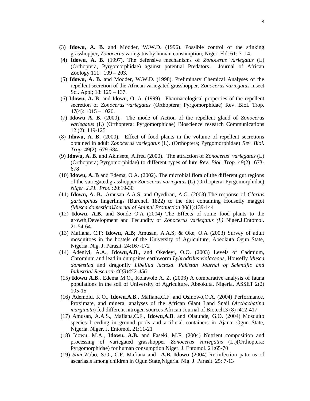- (3) **Idowu, A. B.** and Modder, W.W.D. (1996). Possible control of the stinking grasshopper, *Zonocerus* variegatus by human consumption, Niger. Fld. 61: 7–14.
- (4) **Idowu, A. B.** (1997). The defensive mechanisms of *Zonocerus variegatus* (L) (Orthoptera, Pyrgomorphidae) against potential Predators. Journal of African Zoology 111: 109 – 203.
- (5) **Idowu, A. B.** and Modder, W.W.D. (1998). Preliminary Chemical Analyses of the repellent secretion of the African variegated grasshopper, *Zonocerus variegatus* Insect Sci. Appl; 18: 129 – 137.
- (6) **Idowu, A. B**. and Idowu, O. A. (1999). Pharmacological properties of the repellent secretion of *Zonocerus variegatus* (Orthoptera; Pyrgomorphidae) Rev. Biol. Trop.  $47(4): 1015 - 1020.$
- (7) **Idowu A. B.** (2000). The mode of Action of the repellent gland of *Zonocerus variegatus* (L) (Orthoptera: Pyrgomorphidae) Bioscience research Communications 12 (2): 119-125
- (8) **Idowu, A. B.** (2000). Effect of food plants in the volume of repellent secretions obtained in adult *Zonocerus variegatus* (L). (Orthoptera; Pyrgomorphidae) *Rev. Biol. Trop.* 49(2): 679-684
- (9) **Idowu, A. B.** and Akinsete, Alfred (2000). The attraction of *Zonocerus variegatus* (L) (Orthoptera; Pyrgomorphidae) to different types of lure *Rev. Biol. Trop.* 49(2) 673- 678
- (10) **Idowu, A. B** and Edema, O.A. (2002). The microbial flora of the different gut regions of the variegated grasshopper *Zonocerus variegatus* (L) (Orthoptera: Pyrgomorphidae) *Niger. J.PL. Prot.* :20:19-30
- (11) **Idowu, A. B.**, Amusan A.A.S. and Oyediran, A.G. (2003) The response of *Clarias garienpinus* fingerlings (Burchell 1822) to the diet containing Housefly maggot *(Musca domestica)Journal of Animal Production* 30(1):139-144
- (12) **Idowu, A.B.** and Sonde O.A (2004) The Effects of some food plants to the growth,Development and Fecundity of *Zonocerus variegatus (L)* Niger.J.Entomol. 21:54-64
- (13) Mafiana, C.F; **Idowu, A.B**; Amusan, A.A.S; & Oke, O.A (2003) Survey of adult mosquitoes in the hostels of the University of Agriculture, Abeokuta Ogun State, Nigeria. Nig. J. Parasit. 24:167-172
- (14) Adeniyi, A.A., **Idowu,A.B**., and Okedeyi, O.O. (2003) Levels of Cadmium, Chromium and lead in dumpsites earthworm *Lybrodrilus violaceous*, Housefly *Musca domestica* and dragonfly *Libellua luctosa*. *Pakistan Journal of Scientific and Industrial Research 46(3)452-456*
- (15) **Idowu A.B**., Edema M.O., Kolawole A. Z. (2003) A comparative analysis of fauna populations in the soil of University of Agriculture, Abeokuta, Nigeria. ASSET 2(2) 105-15
- (16) Ademolu, K.O., **Idowu,A.B**., Mafiana,C.F. and Osinowo,O.A. (2004) Performance, Proximate, and mineral analyses of the African Giant Land Snail (*Archachatina marginata*) fed different nitrogen sources African Journal of Biotech.3 (8) :412-417
- (17) Amusan, A.A.S., Mafiana,C.F., **Idowu,A.B**. and Olatunde, G.O. (2004) Mosquito species breeding in ground pools and artificial containers in Ajana, Ogun State, Nigeria. Niger. J. Entomol. 21:11-21
- (18) Idowu, M.A., **Idowu, A.B.** and Faseki, M.F. (2004) Nutrient composition and processing of variegated grasshopper *Zonocerus variegatus* (L.)(Orthoptera: Pyrgomorphidae) for human consumption Niger. J. Entomol. 21:65-70
- (19) *Sam-W*obo, S.O., C.F. Mafiana and **A.B. Idowu** (2004) Re-infection patterns of ascariasis among children in Ogun State,Nigeria. Nig. J. Parasit. 25: 7-13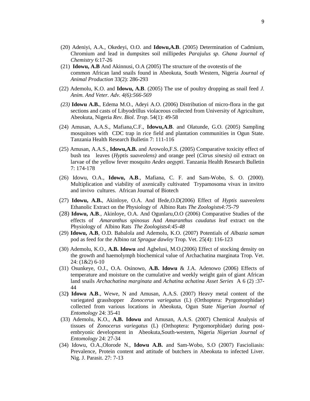- (20) Adeniyi, A.A., Okedeyi, O.O. and **Idowu,A.B**. (2005) Determination of Cadmium, Chromium and lead in dumpsites soil millipedes *Parajulus sp. Ghana Journal of Chemistry* 6:17-26
- (21) **Idowu, A.B** And Akinnusi, O.A (2005) The structure of the ovotestis of the common African land snails found in Abeokuta, South Western, Nigeria *Journal of Animal Production* 33(2): 286-293
- (22) Ademolu, K.O. and **Idowu, A.B**. (2005) The use of poultry dropping as snail feed *J. Anim. And Veter. Adv. 4(6):566-569*
- *(23)* **Idowu A.B.**, Edema M.O., Adeyi A.O. (2006) Distribution of micro-flora in the gut sections and casts of Libyodrillus violaceous collected from University of Agriculture, Abeokuta, Nigeria *Rev. Biol. Trop*. 54(1): 49-58
- (24) Amusan, A.A.S., Mafiana,C.F., **Idowu,A.B**. and Olatunde, G.O. (2005) Sampling mosquitoes with CDC trap in rice field and plantation communities in Ogun State. Tanzania Health Research Bulletin 7: 111-116
- (25) Amusan, A.A.S., **Idowu,A.B.** and Arowolo,F.S. (2005) Comparative toxicity effect of bush tea leaves (*Hyptis suaveolens)* and orange peel (*Citrus sinesis)* oil extract on larvae of the yellow fever mosquito *Aedes aegypti*. Tanzania Health Research Bulletin 7: 174-178
- (26) Idowu, O.A., **Idowu, A.B**., Mafiana, C. F. and Sam-Wobo, S. O. (2000). Multiplication and viability of axenically cultivated Trypamosoma vivax in invitro and invivo cultures. African Journal of Biotech
- (27) **Idowu, A.B.**, Akinloye, O.A. And Ifede,O.D(2006) Effect of *Hyptis suaveolens* Ethanolic Extract on the Physiology of Albino Rats *The Zoologists4:75-79*
- (28) **Idowu, A.B**., Akinloye, O.A. And Ogunlaru,O.O (2006) Comparative Studies of the effects of *Amaranthus spinosus* And *Amaranthus caudatus l*eaf extract on the Physiology of Albino Rats *The Zoologists4:45-48*
- (29) **Idowu, A.B**, O.D. Babalola and Ademolu, K.O. (2007) Potentials of *Albazia saman* pod as feed for the Albino rat *Sprague dawley* Trop. Vet. 25(4): 116-123
- (30) Ademolu, K.O., **A.B. Idowu** and Agbelusi, M.O.(2006) Effect of stocking density on the growth and haemolymph biochemical value of Archachatina marginata Trop. Vet. 24: (1&2) 6-10
- (31) Osunkeye, O.J., O.A. Osinowo, **A.B. Idowu** & J.A. Adenowo (2006) Effects of temperature and moisture on the cumulative and weekly weight gain of giant African land snails *Archachatina marginata* and *Achatina achatina Asset Series* A 6 (2) :37- 44
- (32**) Idowu A.B**., Wewe, N and Amusan, A.A.S. (2007) Heavy metal content of the variegated grasshopper *Zonocerus variegatus* (L) (Orthoptera: Pyrgomorphidae) collected from various locations in Abeokuta, Ogun State *Nigerian Journal of Entomology* 24: 35-41
- (33) Ademolu, K.O., **A.B. Idowu** and Amusan, A.A.S. (2007) Chemical Analysis of tissues of *Zonocerus variegatus* (L) (Orthoptera: Pyrgomorphidae) during postembryonic development in Abeokuta,South-western, Nigeria *Nigerian Journal of Entomology* 24: 27-34
- (34) Idowu, O.A.,Olorode N., **Idowu A.B.** and Sam-Wobo, S.O (2007) Fascioliasis: Prevalence, Protein content and attitude of butchers in Abeokuta to infected Liver. Nig. J. Parasit. 27: 7-13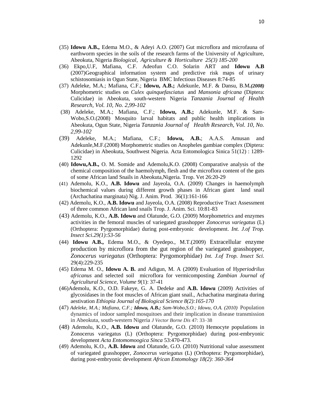- (35) **Idowu A.B.,** Edema M.O., & Adeyi A.O. (2007) Gut microflora and microfauna of earthworm species in the soils of the research farms of the University of Agriculture, Abeokuta, Nigeria *Biological, Agriculture & Horticulture 25(3) 185-200*
- (36) Ekpo,U.F, Mafiana, C.F. Adeofun C.O. Solarin ART and **Idowu A.B**  (2007)Geographical information system and predictive risk maps of urinary schistosomiasis in Ogun State, Nigeria BMC Infectious Diseases 8:74-85
- (37) Adeleke, M.A.; Mafiana, C.F.; **Idowu, A.B.;** Adekunle, M.F. & Dansu, B.M*.(2008)* Morphometric studies on *Culex quinquefasciatus* and *Mansonia africana* (Diptera: Culicidae) in Abeokuta, south-western Nigeria *Tanzania Journal of Health Research, Vol. 10, No. 2,99-102*
- (38) Adeleke, M.A.; Mafiana, C.F.; **Idowu, A.B.;** Adekunle, M.F. & Sam-Wobo,S.O.(2008) Mosquito larval habitats and public health implications in Abeokuta, Ogun State, Nigeria *Tanzania Journal of Health Research, Vol. 10, No. 2,99-102*
- (39) Adeleke, M.A.; Mafiana, C.F.; **Idowu, A.B.**; A.A.S. Amusan and Adekunle,M.F.(2008) Morphometric studies on Anopheles gambiae complex (Diptera: Culicidae) in Abeokuta, Southwest Nigeria. Acta Entomologica Sinica 51(12) : 1289- 1292
- (40) **Idowu,A.B.,** O. M. Somide and Ademolu,K.O. (2008) Comparative analysis of the chemical composition of the haemolymph, flesh and the microflora content of the guts of some African land Snails in Abeokuta,Nigeria. Trop. Vet 26:20-29
- (41) Ademolu, K.O., **A.B. Idowu** and Jayeola, O.A. (2009) Changes in haemolymph biochemical values during different growth phases in African giant land snail (Archachatina marginata) Nig. J. Anim. Prod. 36(1):161-166
- (42) Ademolu, K.O., **A.B. Idowu** and Jayeola, O.A. (2008) Reproductive Tract Assessment of three common African land snails Trop. J. Anim. Sci. 10:81-83
- (43) Ademolu, K.O., **A.B. Idowu** and Olatunde, G.O. (2009) Morphometrics and enzymes activities in the femoral muscles of variegated grasshopper *Zonocerus variegatus* (L) (Orthoptera: Pyrgomorphidae) during post-embryonic development. *Int. J.of Trop. Insect Sci.29(1):53-56*
- (44) **Idowu A.B.,** Edema M.O., & Oyedepo., M.T.(2009) Extracellular enzyme production by microflora from the gut region of the variegated grasshopper, *Zonocerus variegatus* (Orthoptera: Pyrgomorphidae) *Int. J.of Trop. Insect Sci.* 29(4):229-235
- (45) Edema M. O., **Idowu A. B.** and Adigun, M. A (2009) Evaluation of H*yperiodrilus africanus* and selected soil microflora for vermicomposting *Zambian Journal of Agricultural Science, Volume 9*(1): 37-41
- (46)Ademolu, K.O., O.D. Fakeye, G. A. Dedeke and **A.B. Idowu** (2009) Activities of glycosidases in the foot muscles of African giant snail., Achachatina marginata during aestivation *Ethiopia Journal of Biological Science 8(2):165-170*
- (47) *Adeleke, M.A.; Mafiana, C.F.; Idowu, A.B.; Sam-Wobo,S.O.; Idowu, O.A. (2010)* Population dynamics of indoor sampled mosquitoes and their implication in disease transmission in Abeokuta, south-western Nigeria *J Vector Borne Dis* 47: 33–38
- (48) Ademolu, K.O., **A.B. Idowu** and Olatunde, G.O. (2010) Hemocyte populations in Zonocerus variegatus (L) (Orthoptera: Pyrgomorphidae) during post-embryonic development *Acta Entomomoogica Sinca* 53:470-473.
- (49) Ademolu, K.O., **A.B. Idowu** and Olatunde, G.O. (2010) Nutritional value assessment of variegated grasshopper, *Zonocerus variegatus* (L) (Orthoptera: Pyrgomorphidae), during post-embryonic development *African Entomology 18(2): 360-364*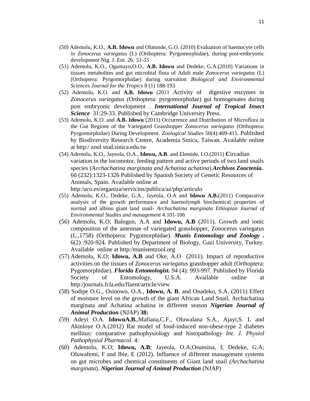- *(50)* Ademolu, K.O., **A.B. Idowu** and Olatunde, G.O. (2010) Evaluation of haemocyte cells in *Zonocerus variegatus* (L) (Orthoptera: Pyrgomorphidae), during post-embryonic development Nig. J. Ent. 26*: 51-55*
- (51) Ademolu, K.O., Oguntayo,O.O., **A.B. Idowu** and Dedeke, G.A.(2010) Variations in tissues metabolites and gut microbial flora of Adult male *Zonocerus variegatus* (L) (Orthoptera: Pyrgomorphidae) during starvation *Biological and Environmental Sciences Journal for the Tropic*s 8 (1) 188-193
- (52) Ademolu, K.O. and **A.B. Idowu** (2011 Activity of digestive enzymes in *Zonocerus variegatus (*Orthoptera: pyrgomorphidae) gut homogenates during post embryonic development . *International Journal of Tropical Insect Science* 31:29-33. Published by Cambridge University Press.
- (53) Ademolu, K.O. and **A.B. Idowu** (2011) Occurrence and Distribution of Microflora in the Gut Regions of the Variegated Grasshopper *Zonocerus variegatus* (Orthoptera: Pyrgomorphidae) During Development. *Zoological Studies* 50(4):409-415. Published by Biodiversity Research Centre, Academia Sinica, Taiwan. Available online at http:/ zool stud.sinica.edu.tw
- (54) Ademolu, K.O., Jayeola, O.A., **Idowu, A.B**. and Elemide, I.O.(2011) **C**ircadian variation in the locomotor, feeding pattern and active periods of two land snails species (A*rchachatina marginata and Achatina achatina*).*Archivos Zooctenia.* 60 (232):1323-1326 Published by Spanish Society of Genetic Resources of Animals, Spain. Available online at http:/uco.es/organiza/servicios/publica/az/php/articulo
- (55) Ademolu, K.O., Dedeke, G.A., Jayeola, O.A and **Idowu A.B.**(2011) Comparative analysis of the growth performance and haemolymph biochemical properties of normal and albino giant land snail- *Archachatina marginata Ethiopian Journal of Environmental Studies and management* 4:101-106
- (56) Ademolu, K.O; Balogun, A.A and **Idowu, A.B** (2011). Growth and ionic composition of the antennae of variegated grasshopper, Zonocerus variegatus (L.,1758) (Orthoptera: Pygomorphidae). *Munis Entomology and Zoology .*  6(2) :920-924. Published by Department of Biology, Gazi University, Turkey. Available online at http:/munisentzool.org
- (57) Ademolu, K.O; **Idowu, A.B** and Oke, A.O (2011). Impact of reproductive activities on the tissues of *Zonocerus variegatus* grasshopper adult (Orthoptera: Pygomorphidae). *Florida Entomologist.* 94 (4): 993-997. Published by Florida Society of Entomology, U.S.A. Available online at http:/journals.fcla.edu/flaent/article/view
- (58) Sodipe O.G., Osinowo, O.A., **Idowu, A. B**. and Onadeko, S.A. (2011) Effect of moisture level on the growth of the giant African Land Snail, Archachatina marginata and Achatina achatina in different season *Nigerian Journal of Animal Production* (NJAP) **38:**
- (59) Adeyi O.A. **IdowuA.B.**,Mafiana,C.F., Oluwalana S.A., Ajayi,S. L and Akinloye O.A.(2012) Rat model of food-induced non-obese-type 2 diabetes mellitus: comparative pathophysiology and histopathology *Int. J. Physiol Pathophysiol Pharmacol*. 4:
- (60) Ademolu, K.O; **Idowu, A.B**; Jayeola, O.A;Osunsina, I; Dedeke, G.A; Oluwafemi, F and Ibie, E (2012). Influence of different management systems on gut microbes and chemical constituents of Giant land snail *(Archachatina marginata*). *Nigerian Journal of Animal Production* (NJAP)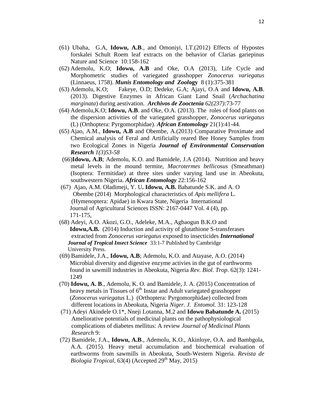- (61) Ubaha, G.A, **Idowu, A.B**., and Omoniyi, I.T.(2012) Effects of Hypostes forskalei Schult Roem leaf extracts on the behavior of Clarias gariepinus Nature and Science 10:158-162
- (62) Ademolu, K.O; **Idowu, A.B** and Oke, O.A (2013), Life Cycle and Morphometric studies of variegated grasshopper *Zonocerus variegatus* (Linnaeus, 1758). *Munis Entomology and Zool***ogy** 8 (1):375-381
- (63) Ademolu, K.O; Fakeye, O.D; Dedeke, G.A; Ajayi, O.A and **Idowu, A.B**. (2013). Digestive Enzymes in African Giant Land Snail (*Archachatina marginata*) during aestivation. *Archivos de Zooctenia 62(237):*73-77
- (64) Ademolu,K.O; **Idowu, A.B**. and Oke, O.A. (2013). The roles of food plants on the dispersion activities of the variegated grasshopper, *Zonocerus variegatus*  (L) (Orthoptera: Pyrgomorphidae). *African Entomology* 21(1):41-44.
- (65) Ajao, A.M., **Idowu, A.B** and Obembe, A.(2013) Comparative Proximate and Chemical analysis of Feral and Artificially reared Bee Honey Samples from two Ecological Zones in Nigeria *Journal of Environmental Conservation Research 1(3)53-58*
- (66)**Idowu, A.B**; Ademolu, K.O. and Bamidele, J.A (2014). Nutrition and heavy metal levels in the mound termite, *Macrotermes bellicosus* (Smeathman) (Isoptera: Termitidae) at three sites under varying land use in Abeokuta, southwestern Nigeria. *African Entomology* 22:156-162
- (67) Ajao, A.M. Oladimeji, Y. U**. Idowu, A.B.** Babatunde S.K. and A. O Obembe (2014) Morphological characteristics of *Apis mellifera* L. (Hymenoptera: Apidae) in Kwara State, Nigeria International Journal of Agricultural Sciences ISSN: 2167-0447 Vol. 4 (4), pp. 171-175,
- (68) Adeyi, A.O. Akozi, G.O., Adeleke, M.A., Agbaogun B.K.O and **Idowu,A.B.** (2014) Induction and activity of glutathione S-transferases extracted from *Zonocerus variegatus* exposed to insecticides *International Journal of Tropical Insect Science* 33:1-7 Published by Cambridge University Press.
- (69) Bamidele, J.A., **Idowu, A.B**; Ademolu, K.O. and Atayase, A.O. (2014) Microbial diversity and digestive enzyme activies in the gut of earthworms found in sawmill industries in Abeokuta, Nigeria *Rev. Biol. Trop*. 62(3): 1241- 1249
- (70) **Idowu, A. B**., Ademolu, K. O. and Bamidele, J. A. (2015) Concentration of heavy metals in Tissues of  $6<sup>th</sup>$  Instar and Adult variegated grasshopper (*Zonocerus variegatus* L.) (Orthoptera: Pyrgomorphidae) collected from different locations in Abeokuta, Nigeria *Niger. J. Entomol.* 31: 123-128
- (71) Adeyi Akindele O.1\*, Nneji Lotanna, M.2 and **Idowu Babatunde A.** (2015) Ameliorative potentials of medicinal plants on the pathophysiological complications of diabetes mellitus: A review *Journal of Medicinal Plants Research* 9:
- (72) Bamidele, J.A., **Idowu, A.B**., Ademolu, K.O., Akinloye, O.A. and Bambgola, A.A. (2015). Heavy metal accumulation and biochemical evaluation of earthworms from sawmills in Abeokuta, South-Western Nigeria. *Revista de Biologia Tropical*,  $63(4)$  (Accepted  $29<sup>th</sup>$  May,  $2015$ )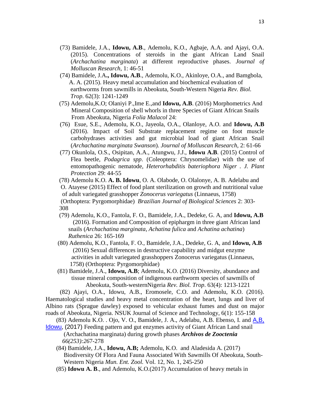- (73) Bamidele, J.A., **Idowu, A.B**., Ademolu, K.O., Agbaje, A.A. and Ajayi, O.A. (2015). Concentrations of steroids in the giant African Land Snail (*Archachatina marginata*) at different reproductive phases. *Journal of Molluscan Research*, 1: 46-51
- (74) Bamidele, J.A**., Idowu, A.B**., Ademolu, K.O., Akinloye, O.A., and Bamgbola, A. A. (2015). Heavy metal accumulation and biochemical evaluation of earthworms from sawmills in Abeokuta, South-Western Nigeria *Rev. Biol. Trop*. 62(3): 1241-1249
- (75) Ademolu,K.O; Olaniyi P.,Ime E.,and **Idowu, A.B**. (2016) Morphometrics And Mineral Composition of shell whorls in three Species of Giant African Snails From Abeokuta, Nigeria *Folia Malacol* 24:
- (76) Esue, S.E., Ademolu, K.O., Jayeola, O.A., Olanloye, A.O. and **Idowu, A.B** (2016). Impact of Soil Substrate replacement regime on foot muscle carbohydrases activities and gut microbial load of giant African Snail (*Archachatina marginata Swanson*). *Journal of Molluscan Research*, 2: 61-66
- (77) Okunlola, O.S., Osipitan, A.A., Atungwu, J.J., **Idowu A.B**. (2015) Control of Flea beetle, *Podagrica spp*. (Coleoptera: Chrysomelidae) with the use of entomopathogenic nematode, *Heterorhabditis bateriophora Niger . J. Plant Protection* 29: 44-55
- (78) Ademolu K.O. **[A. B. Idowu](http://revista.rebibio.net/authorindex/saad-sb.html)**, [O. A. Olabode,](http://revista.rebibio.net/authorindex/alqudah-a.html) [O. Olalonye,](http://revista.rebibio.net/authorindex/saad-sb.html) [A. B. Adelabu](http://revista.rebibio.net/authorindex/hadry-nf.html) and [O. Atayese](http://revista.rebibio.net/authorindex/susanti-s.html) (2015) Effect of food plant sterilization on growth and nutritional value of adult variegated grasshopper *Zonocerus variegatus* (Linnaeus, 1758) (Orthoptera: Pyrgomorphidae) *Brazilian Journal of Biological Sciences* 2: 303- 308
- (79) Ademolu, K.O., Fantola, F. O., Bamidele, J.A., Dedeke, G. A, and **Idowu, A.B** (2016). Formation and Composition of epiphargm in three giant African land snails (*Archachatina marginata*, *Achatina fulica* and *Achatina achatina*) *Ruthenica* 26: 165-169
- (80) Ademolu, K.O., Fantola, F. O., Bamidele, J.A., Dedeke, G. A, and **Idowu, A.B** (2016) Sexual differences in destructive capability and midgut enzyme activities in adult variegated grasshoppers Zonocerus variegatus (Linnaeus, 1758) (Orthoptera: Pyrgomorphidae)
- (81) Bamidele, J.A., **Idowu, A.B**; Ademolu, K.O. (2016) Diversity, abundance and tissue mineral composition of indigenous earthworm species of sawmills of Abeokuta, South-westernNigeria *Rev. Biol. Trop*. 63(4): 1213-1221

(82) Ajayi, O.A., Idowu, A.B., Eromosele, C.O. and Ademolu, K.O. (2016). Haematological studies and heavy metal concentration of the heart, lungs and liver of Albino rats (Sprague dawley) exposed to vehicular exhaust fumes and dust on major roads of Abeokuta, Nigeria. NSUK Journal of Science and Technology, 6(1): 155-158

- [Idowu](http://revista.rebibio.net/authorindex/saad-sb.html), (2017) Feeding pattern and gut enzymes activity of Giant African Land snail (Archachatina marginata) during growth phases *Archivos de Zooctenia 66(253):26*7-278
	- (84) Bamidele, J.A., **Idowu, A.B;** Ademolu, K.O. and Aladesida A. (2017) Biodiversity Of Flora And Fauna Associated With Sawmills Of Abeokuta, South- Western Nigeria *Mun. Ent. Zool.* Vol. 12, No. 1, 245-250
	- (85) **Idowu A. B**., and Ademolu, K.O.(2017) Accumulation of heavy metals in

<sup>(83)</sup> Ademolu K.O. . Ojo, V. O., Bamidele, J. A., Adelabu, A.B. Ebenso, I. and  $A, B$ ,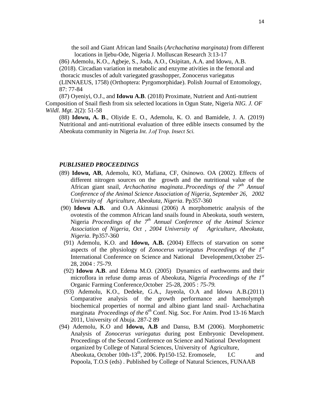the soil and Giant African land Snails (*Archachatina marginata)* from different locations in Ijebu-Ode, Nigeria J. Molluscan Research 3:13-17

(86) Ademolu, K.O., Agbeje, S., Joda, A.O., Osipitan, A.A. and Idowu, A.B.

(2018). Circadian variation in metabolic and enzyme ativities in the femoral and

thoracic muscles of adult variegated grasshopper, Zonocerus variegatus

(LINNAEUS, 1758) (Orthoptera: Pyrgomorphidae). Polish Journal of Entomology, 87: 77-84

(87) Oyeniyi, O.J., and **Idowu A.B**. (2018) Proximate, Nutrient and Anti-nutrient Composition of Snail flesh from six selected locations in Ogun State, Nigeria *NIG. J. OF Wildl. Mgt.* 2(2): 51-58

(88) **Idowu, A. B**., Oliyide E. O., Ademolu, K. O. and Bamidele, J. A. (2019) Nutritional and anti-nutritional evaluation of three edible insects consumed by the Abeokuta community in Nigeria *Int. J.of Trop. Insect Sci.*

#### *PUBLISHED PROCEEDINGS*

- (89) **Idowu, AB**, Ademolu, KO, Mafiana, CF, Osinowo. OA (2002). Effects of different nitrogen sources on the growth and the nutritional value of the African giant snail, *Archachatina maginata..Proceedings of the 7th Annual Conference of the Animal Science Association of Nigeria, September 26, 2002 University of Agriculture, Abeokuta, Nigeria*. Pp357-360
- (90) **Idowu A.B.** and O.A Akinnusi (2006) A morphometric analysis of the ovotestis of the common African land snails found in Abeokuta, south western, Nigeria *Proceedings of the 7th Annual Conference of the Animal Science Association of Nigeria, Oct , 2004 University of Agriculture, Abeokuta, Nigeria*. Pp357-360
- (91) Ademolu, K.O. and **Idowu, A.B.** (2004) Effects of starvation on some aspects of the physiology of *Zonocerus variegatus Proceedings of the 1st* International Conference on Science and National Development,October 25- 28, 2004 : *75-79.*
- (92) **Idowu A.B**. and Edema M.O. (2005) Dynamics of earthworms and their microflora in refuse dump areas of Abeokuta, Nigeria *Proceedings of the 1st* Organic Farming Conference,October 25-28, 2005 : *75-79.*
- (93) Ademolu, K.O., Dedeke, G.A., Jayeola, O.A and Idowu A.B.(2011) Comparative analysis of the growth performance and haemolymph biochemical properties of normal and albino giant land snail- Archachatina marginata *Proceedings of the 6th* Conf. Nig. Soc. For Anim. Prod 13-16 March 2011, University of Abuja. 287-2 89
- (94) Ademolu, K.O and **Idowu, A.B** and Dansu, B.M (2006). Morphometric Analysis of *Zonocerus variegatus* during post Embryonic Development. Proceedings of the Second Conference on Science and National Development organized by College of Natural Sciences, University of Agriculture, Abeokuta, October 10th-13<sup>th</sup>, 2006. Pp150-152. Eromosele, I.C and Popoola, T.O.S (eds) . Published by College of Natural Sciences, FUNAAB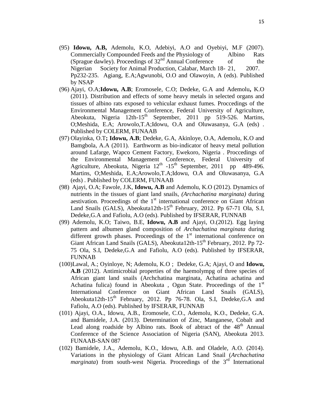- (95) **Idowu, A.B,** Ademolu, K.O, Adebiyi, A.O and Oyebiyi, M.F (2007). Commercially Compounded Feeds and the Physiology of Albino Rats (Sprague dawley). Proceedings of  $32<sup>nd</sup>$  Annual Conference of the Nigerian Society for Animal Production, Calabar, March 18- 21, 2007. Pp232-235. Agiang, E.A;Agwunobi, O.O and Olawoyin, A (eds). Published by NSAP
- (96) Ajayi, O.A;**Idowu, A.B**; Eromosele, C.O; Dedeke, G.A and Ademolu**,** K.O (2011). Distribution and effects of some heavy metals in selected organs and tissues of albino rats exposed to vehicular exhaust fumes. Proccedings of the Environmental Management Conference, Federal University of Agriculture, Abeokuta, Nigeria  $12$ th-15<sup>th</sup> September, 2011 pp 519-526. Martins, O;Meshida, E.A; Arowolo,T.A;Idowu, O.A and Oluwasanya, G.A (eds) . Published by COLERM, FUNAAB
- (97) Olayinka, O.T**; Idowu, A.B**; Dedeke, G.A, Akinloye, O.A, Ademolu, K.O and Bamgbola, A.A (2011). Earthworm as bio-indicator of heavy metal pollution around Lafarge, Wapco Cement Factory, Ewekoro, Nigeria . Proccedings of the Environmental Management Conference, Federal University of Agriculture, Abeokuta, Nigeria  $12^{th}$  -15<sup>th</sup> September, 2011 pp 489-496. Martins, O;Meshida, E.A;Arowolo,T.A;Idowu, O.A and Oluwasanya, G.A (eds) . Published by COLERM, FUNAAB
- (98) Ajayi, O.A; Fawole, J.K, **Idowu, A.B** and Ademolu, K.O (2012). Dynamics of nutrients in the tissues of giant land snails, *(Archachatina marginata)* during aestivation. Proceedings of the  $1<sup>st</sup>$  international conference on Giant African Land Snails (GALS), Abeokuta12th-15<sup>th</sup> February, 2012. Pp 67-71 Ola, S.I, Dedeke,G.A and Fafiolu, A.O (eds). Published by IFSERAR, FUNNAB
- (99) Ademolu, K.O; Taiwo, B.E, **Idowu, A.B** and Ajayi, O.(2012). Egg laying pattern and albumen gland composition of *Archachatina marginata* during different growth phases. Proceedings of the  $1<sup>st</sup>$  international conference on Giant African Land Snails (GALS), Abeokuta12th-15<sup>th</sup> February, 2012. Pp 72-75 Ola, S.I, Dedeke,G.A and Fafiolu, A.O (eds). Published by IFSERAR, FUNNAB
- (100)Lawal, A.; Oyinloye, N; Ademolu, K.O ; Dedeke, G.A; Ajayi, O and **Idowu, A.B** (2012). Antimicrobial properties of the haemolympg of three species of African giant land snails (Archchatina marginata, Achatina achatina and Achatina fulica) found in Abeokuta, Ogun State. Proceedings of the  $1<sup>st</sup>$ International Conference on Giant African Land Snails (GALS), Abeokuta12th-15<sup>th</sup> February, 2012. Pp 76-78. Ola, S.I, Dedeke, G.A and Fafiolu, A.O (eds). Published by IFSERAR, FUNNAB
- (101) Ajayi, O.A., Idowu, A.B., Eromosele, C.O., Ademolu, K.O., Dedeke, G.A. and Bamidele, J.A. (2013). Determination of Zinc, Manganese, Cobalt and Lead along roadside by Albino rats. Book of abtract of the  $48<sup>th</sup>$  Annual Conference of the Science Association of Nigeria (SAN), Abeokuta 2013. FUNAAB-SAN 087
- (102) Bamidele, J.A., Ademolu, K.O., Idowu, A.B. and Oladele, A.O. (2014). Variations in the physiology of Giant African Land Snail (*Archachatina marginata*) from south-west Nigeria. Proceedings of the 3<sup>rd</sup> International